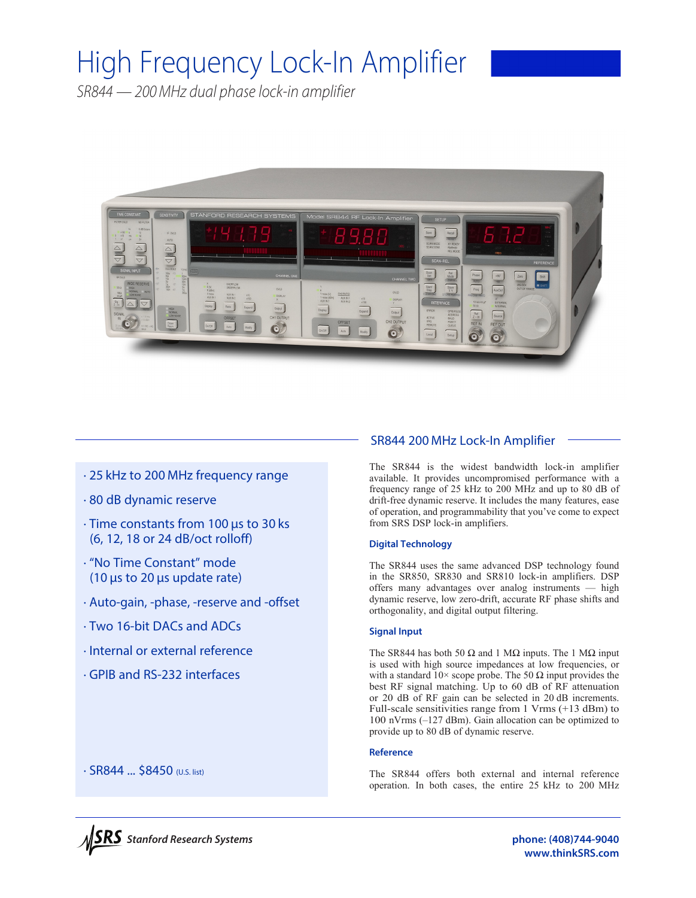# High Frequency Lock-In Amplifier

*SR844 — 200MHz dual phase lock-in amplifier*



# · 25 kHz to 200 MHz frequency range

- · 80 dB dynamic reserve
- · Time constants from 100 µs to 30 ks (6, 12, 18 or 24 dB/oct rolloff)
- · "No Time Constant" mode (10 µs to 20 µs update rate)
- · Auto-gain, -phase, -reserve and -offset
- · Two 16-bit DACs and ADCs
- · Internal or external reference
- · GPIB and RS-232 interfaces

# SR844 200 MHz Lock-In Amplifier

The SR844 is the widest bandwidth lock-in amplifier available. It provides uncompromised performance with a frequency range of 25 kHz to 200 MHz and up to 80 dB of drift-free dynamic reserve. It includes the many features, ease of operation, and programmability that you've come to expect from SRS DSP lock-in amplifiers.

# **Digital Technology**

The SR844 uses the same advanced DSP technology found in the SR850, SR830 and SR810 lock-in amplifiers. DSP offers many advantages over analog instruments — high dynamic reserve, low zero-drift, accurate RF phase shifts and orthogonality, and digital output filtering.

# **Signal Input**

The SR844 has both 50  $\Omega$  and 1 M $\Omega$  inputs. The 1 M $\Omega$  input is used with high source impedances at low frequencies, or with a standard  $10 \times$  scope probe. The 50  $\Omega$  input provides the best RF signal matching. Up to 60 dB of RF attenuation or 20 dB of RF gain can be selected in 20 dB increments. Full-scale sensitivities range from 1 Vrms (+13 dBm) to 100 nVrms (–127 dBm). Gain allocation can be optimized to provide up to 80 dB of dynamic reserve.

#### **Reference**

The SR844 offers both external and internal reference operation. In both cases, the entire 25 kHz to 200 MHz



· SR844 ... \$8450 (U.S. list)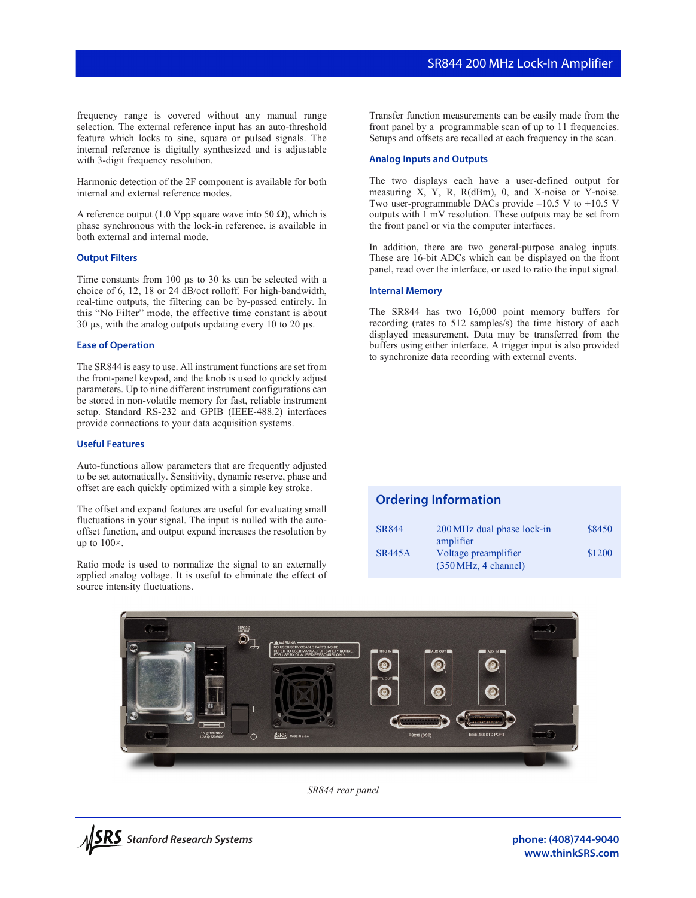frequency range is covered without any manual range selection. The external reference input has an auto-threshold feature which locks to sine, square or pulsed signals. The internal reference is digitally synthesized and is adjustable with 3-digit frequency resolution.

Harmonic detection of the 2F component is available for both internal and external reference modes.

A reference output (1.0 Vpp square wave into 50  $\Omega$ ), which is phase synchronous with the lock-in reference, is available in both external and internal mode.

## **Output Filters**

Time constants from 100  $\mu$ s to 30 ks can be selected with a choice of 6, 12, 18 or 24 dB/oct rolloff. For high-bandwidth, real-time outputs, the filtering can be by-passed entirely. In this "No Filter" mode, the effective time constant is about 30  $\mu$ s, with the analog outputs updating every 10 to 20  $\mu$ s.

#### **Ease of Operation**

The SR844 is easy to use. All instrument functions are set from the front-panel keypad, and the knob is used to quickly adjust parameters. Up to nine different instrument configurations can be stored in non-volatile memory for fast, reliable instrument setup. Standard RS-232 and GPIB (IEEE-488.2) interfaces provide connections to your data acquisition systems.

## **Useful Features**

Auto-functions allow parameters that are frequently adjusted to be set automatically. Sensitivity, dynamic reserve, phase and offset are each quickly optimized with a simple key stroke.

The offset and expand features are useful for evaluating small fluctuations in your signal. The input is nulled with the autooffset function, and output expand increases the resolution by up to  $100\times$ .

Ratio mode is used to normalize the signal to an externally applied analog voltage. It is useful to eliminate the effect of source intensity fluctuations.

Transfer function measurements can be easily made from the front panel by a programmable scan of up to 11 frequencies. Setups and offsets are recalled at each frequency in the scan.

#### **Analog Inputs and Outputs**

The two displays each have a user-defined output for measuring X, Y, R, R(dBm),  $θ$ , and X-noise or Y-noise. Two user-programmable DACs provide –10.5 V to +10.5 V outputs with 1 mV resolution. These outputs may be set from the front panel or via the computer interfaces.

In addition, there are two general-purpose analog inputs. These are 16-bit ADCs which can be displayed on the front panel, read over the interface, or used to ratio the input signal.

## **Internal Memory**

The SR844 has two 16,000 point memory buffers for recording (rates to 512 samples/s) the time history of each displayed measurement. Data may be transferred from the buffers using either interface. A trigger input is also provided to synchronize data recording with external events.

# **Ordering Information**

| <b>SR844</b>  | 200 MHz dual phase lock-in                                     | \$8450 |
|---------------|----------------------------------------------------------------|--------|
|               | amplifier                                                      |        |
| <b>SR445A</b> | Voltage preamplifier<br>$(350 \text{ MHz}, 4 \text{ channel})$ | \$1200 |



*SR844 rear panel*



**phone: (408)744-9040 www.thinkSRS.com**